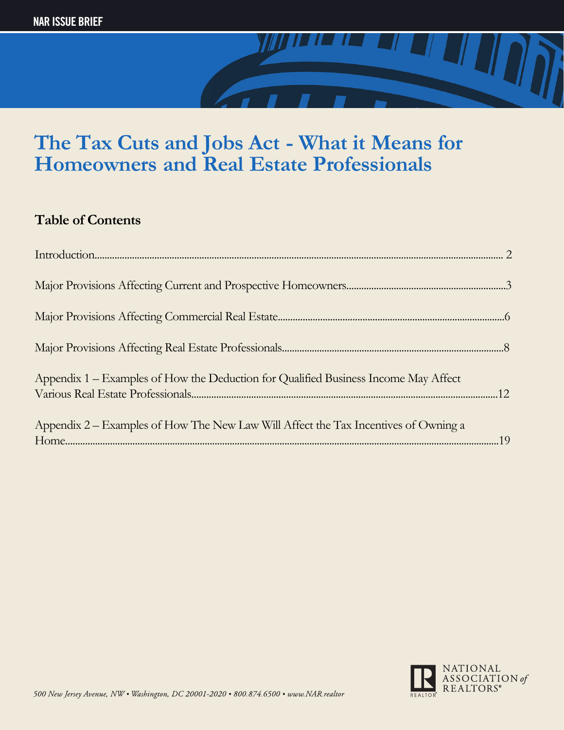

### **Table of Contents**

| Appendix 1 – Examples of How the Deduction for Qualified Business Income May Affect |  |
|-------------------------------------------------------------------------------------|--|
| Appendix 2 – Examples of How The New Law Will Affect the Tax Incentives of Owning a |  |

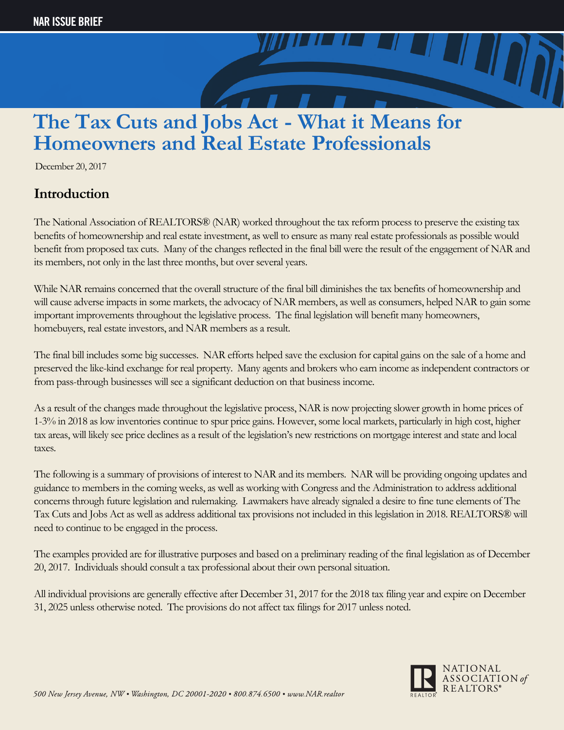

December 20, 2017

### **Introduction**

The National Association of REALTORS® (NAR) worked throughout the tax reform process to preserve the existing tax benefits of homeownership and real estate investment, as well to ensure as many real estate professionals as possible would benefit from proposed tax cuts. Many of the changes reflected in the final bill were the result of the engagement of NAR and its members, not only in the last three months, but over several years.

While NAR remains concerned that the overall structure of the final bill diminishes the tax benefits of homeownership and will cause adverse impacts in some markets, the advocacy of NAR members, as well as consumers, helped NAR to gain some important improvements throughout the legislative process. The final legislation will benefit many homeowners, homebuyers, real estate investors, and NAR members as a result.

The final bill includes some big successes. NAR efforts helped save the exclusion for capital gains on the sale of a home and preserved the like-kind exchange for real property. Many agents and brokers who earn income as independent contractors or from pass-through businesses will see a significant deduction on that business income.

As a result of the changes made throughout the legislative process, NAR is now projecting slower growth in home prices of 1-3% in 2018 as low inventories continue to spur price gains. However, some local markets, particularly in high cost, higher tax areas, will likely see price declines as a result of the legislation's new restrictions on mortgage interest and state and local taxes.

The following is a summary of provisions of interest to NAR and its members. NAR will be providing ongoing updates and guidance to members in the coming weeks, as well as working with Congress and the Administration to address additional concerns through future legislation and rulemaking. Lawmakers have already signaled a desire to fine tune elements of The Tax Cuts and Jobs Act as well as address additional tax provisions not included in this legislation in 2018. REALTORS® will need to continue to be engaged in the process.

The examples provided are for illustrative purposes and based on a preliminary reading of the final legislation as of December 20, 2017. Individuals should consult a tax professional about their own personal situation.

All individual provisions are generally effective after December 31, 2017 for the 2018 tax filing year and expire on December 31, 2025 unless otherwise noted. The provisions do not affect tax filings for 2017 unless noted.

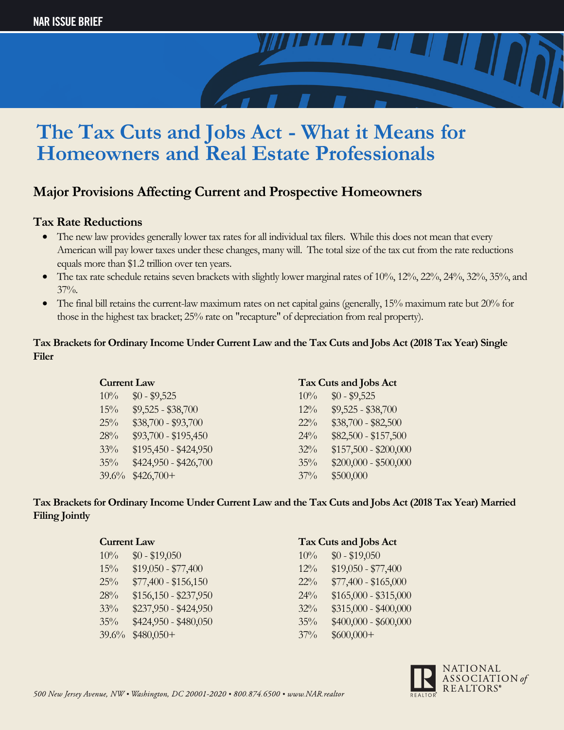

### **Major Provisions Affecting Current and Prospective Homeowners**

#### **Tax Rate Reductions**

- The new law provides generally lower tax rates for all individual tax filers. While this does not mean that every American will pay lower taxes under these changes, many will. The total size of the tax cut from the rate reductions equals more than \$1.2 trillion over ten years.
- The tax rate schedule retains seven brackets with slightly lower marginal rates of 10%, 12%, 22%, 24%, 32%, 35%, and  $37\%$ .
- The final bill retains the current-law maximum rates on net capital gains (generally, 15% maximum rate but 20% for those in the highest tax bracket; 25% rate on "recapture" of depreciation from real property).

#### **Tax Brackets for Ordinary Income Under Current Law and the Tax Cuts and Jobs Act (2018 Tax Year) Single Filer**

| <b>Current Law</b> |                       |        | Tax Cuts and Jobs Act |
|--------------------|-----------------------|--------|-----------------------|
| 10%                | $$0 - $9,525$         | 10%    | $$0 - $9,525$         |
| 15%                | $$9,525 - $38,700$    | $12\%$ | $$9,525 - $38,700$    |
| 25%                | $$38,700 - $93,700$   | $22\%$ | $$38,700 - $82,500$   |
| 28%                | $$93,700 - $195,450$  | $24\%$ | $$82,500 - $157,500$  |
| 33%                | $$195,450 - $424,950$ | 32%    | $$157,500 - $200,000$ |
| 35%                | \$424,950 - \$426,700 | 35%    | $$200,000 - $500,000$ |
| 39.6%              | $$426,700+$           | $37\%$ | \$500,000             |

**Tax Brackets for Ordinary Income Under Current Law and the Tax Cuts and Jobs Act (2018 Tax Year) Married Filing Jointly**

| <b>Current Law</b> |                       |        | Tax Cuts and Jobs Act |
|--------------------|-----------------------|--------|-----------------------|
| $10\%$             | $$0 - $19,050$        | $10\%$ | $$0 - $19,050$        |
| 15%                | $$19,050 - $77,400$   | $12\%$ | $$19,050 - $77,400$   |
| 25%                | $$77,400 - $156,150$  | $22\%$ | $$77,400 - $165,000$  |
| 28%                | $$156,150 - $237,950$ | $24\%$ | $$165,000 - $315,000$ |
| 33%                | $$237,950 - $424,950$ | $32\%$ | $$315,000 - $400,000$ |
| 35%                | $$424,950 - $480,050$ | 35%    | $$400,000 - $600,000$ |
| 39.6%              | $$480,050+$           | $37\%$ | $$600,000+$           |

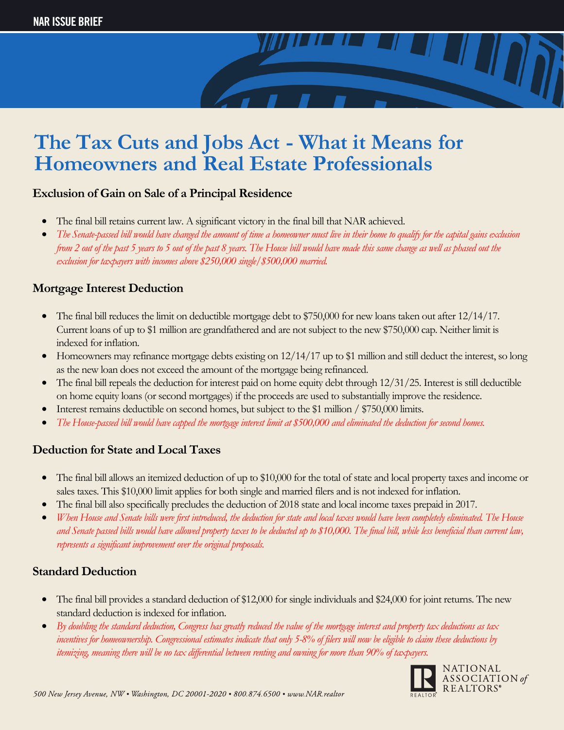#### **Exclusion of Gain on Sale of a Principal Residence**

- The final bill retains current law. A significant victory in the final bill that NAR achieved.
- *The Senate-passed bill would have changed the amount of time a homeowner must live in their home to qualify for the capital gains exclusion from 2 out of the past 5 years to 5 out of the past 8 years. The House bill would have made this same change as well as phased out the exclusion for taxpayers with incomes above \$250,000 single/\$500,000 married.*

### **Mortgage Interest Deduction**

- The final bill reduces the limit on deductible mortgage debt to \$750,000 for new loans taken out after  $12/14/17$ . Current loans of up to \$1 million are grandfathered and are not subject to the new \$750,000 cap. Neither limit is indexed for inflation.
- Homeowners may refinance mortgage debts existing on  $12/14/17$  up to \$1 million and still deduct the interest, so long as the new loan does not exceed the amount of the mortgage being refinanced.
- The final bill repeals the deduction for interest paid on home equity debt through  $12/31/25$ . Interest is still deductible on home equity loans (or second mortgages) if the proceeds are used to substantially improve the residence.
- Interest remains deductible on second homes, but subject to the \$1 million / \$750,000 limits.
- *The House-passed bill would have capped the mortgage interest limit at \$500,000 and eliminated the deduction for second homes.*

### **Deduction for State and Local Taxes**

- The final bill allows an itemized deduction of up to \$10,000 for the total of state and local property taxes and income or sales taxes. This \$10,000 limit applies for both single and married filers and is not indexed for inflation.
- The final bill also specifically precludes the deduction of 2018 state and local income taxes prepaid in 2017.
- *When House and Senate bills were first introduced, the deduction for state and local taxes would have been completely eliminated. The House and Senate passed bills would have allowed property taxes to be deducted up to \$10,000. The final bill, while less beneficial than current law, represents a significant improvement over the original proposals.*

#### **Standard Deduction**

- The final bill provides a standard deduction of \$12,000 for single individuals and \$24,000 for joint returns. The new standard deduction is indexed for inflation.
- *By doubling the standard deduction, Congress has greatly reduced the value of the mortgage interest and property tax deductions as tax incentives for homeownership. Congressional estimates indicate that only 5-8% of filers will now be eligible to claim these deductions by itemizing, meaning there will be no tax differential between renting and owning for more than 90% of taxpayers.*

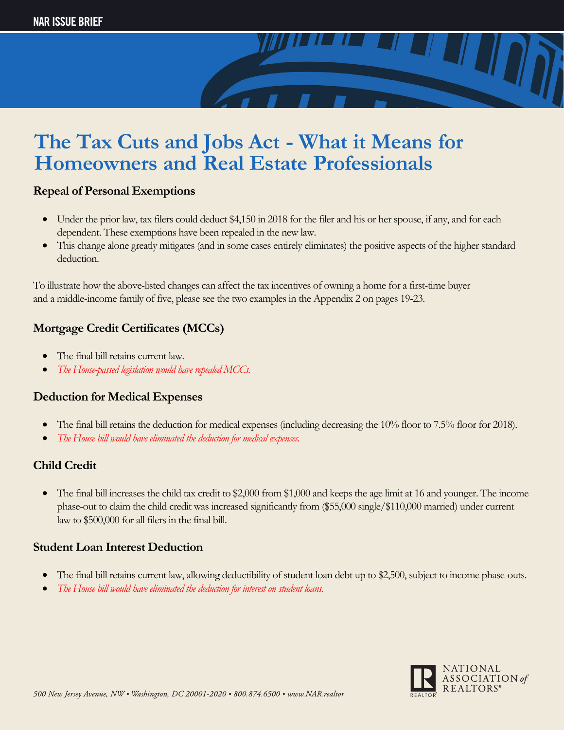

#### **Repeal of Personal Exemptions**

- Under the prior law, tax filers could deduct \$4,150 in 2018 for the filer and his or her spouse, if any, and for each dependent. These exemptions have been repealed in the new law.
- This change alone greatly mitigates (and in some cases entirely eliminates) the positive aspects of the higher standard deduction.

To illustrate how the above-listed changes can affect the tax incentives of owning a home for a first-time buyer and a middle-income family of five, please see the two examples in the Appendix 2 on pages 19-23.

### **Mortgage Credit Certificates (MCCs)**

- The final bill retains current law.
- *The House-passed legislation would have repealed MCCs.*

#### **Deduction for Medical Expenses**

- The final bill retains the deduction for medical expenses (including decreasing the 10% floor to 7.5% floor for 2018).
- *The House bill would have eliminated the deduction for medical expenses.*

### **Child Credit**

• The final bill increases the child tax credit to \$2,000 from \$1,000 and keeps the age limit at 16 and younger. The income phase-out to claim the child credit was increased significantly from (\$55,000 single/\$110,000 married) under current law to \$500,000 for all filers in the final bill.

### **Student Loan Interest Deduction**

- The final bill retains current law, allowing deductibility of student loan debt up to \$2,500, subject to income phase-outs.
- *The House bill would have eliminated the deduction for interest on student loans.*

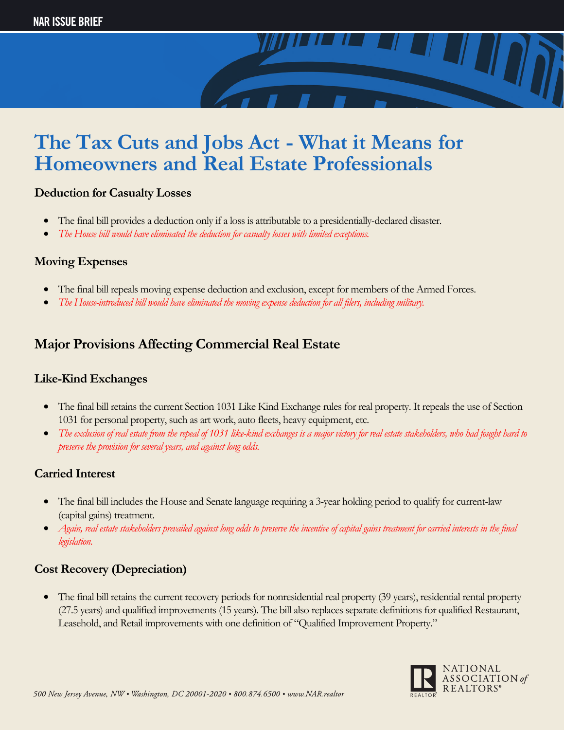

#### **Deduction for Casualty Losses**

- The final bill provides a deduction only if a loss is attributable to a presidentially-declared disaster.
- *The House bill would have eliminated the deduction for casualty losses with limited exceptions.*

#### **Moving Expenses**

- The final bill repeals moving expense deduction and exclusion, except for members of the Armed Forces.
- *The House-introduced bill would have eliminated the moving expense deduction for all filers, including military.*

### **Major Provisions Affecting Commercial Real Estate**

#### **Like-Kind Exchanges**

- The final bill retains the current Section 1031 Like Kind Exchange rules for real property. It repeals the use of Section 1031 for personal property, such as art work, auto fleets, heavy equipment, etc.
- *The exclusion of real estate from the repeal of 1031 like-kind exchanges is a major victory for real estate stakeholders, who had fought hard to preserve the provision for several years, and against long odds.*

### **Carried Interest**

- The final bill includes the House and Senate language requiring a 3-year holding period to qualify for current-law (capital gains) treatment.
- *Again, real estate stakeholders prevailed against long odds to preserve the incentive of capital gains treatment for carried interests in the final legislation.*

### **Cost Recovery (Depreciation)**

• The final bill retains the current recovery periods for nonresidential real property (39 years), residential rental property (27.5 years) and qualified improvements (15 years). The bill also replaces separate definitions for qualified Restaurant, Leasehold, and Retail improvements with one definition of "Qualified Improvement Property."

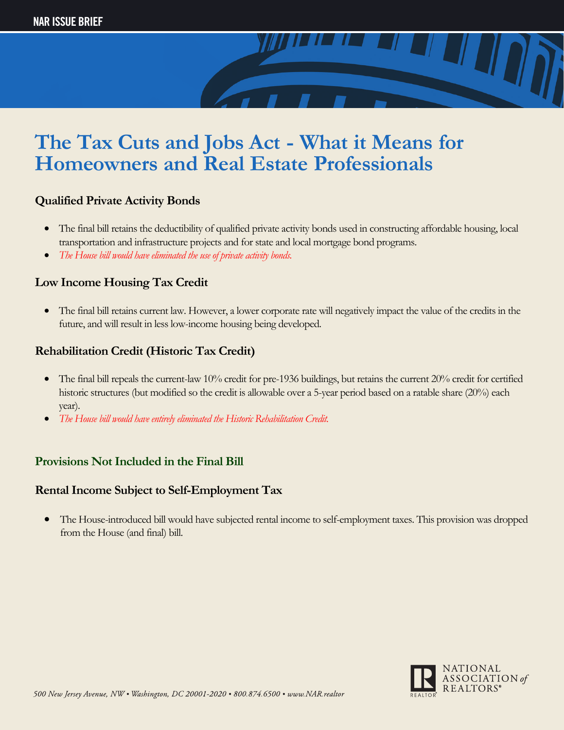

### **Qualified Private Activity Bonds**

- The final bill retains the deductibility of qualified private activity bonds used in constructing affordable housing, local transportation and infrastructure projects and for state and local mortgage bond programs.
- *The House bill would have eliminated the use of private activity bonds.*

#### **Low Income Housing Tax Credit**

• The final bill retains current law. However, a lower corporate rate will negatively impact the value of the credits in the future, and will result in less low-income housing being developed.

### **Rehabilitation Credit (Historic Tax Credit)**

- The final bill repeals the current-law 10% credit for pre-1936 buildings, but retains the current 20% credit for certified historic structures (but modified so the credit is allowable over a 5-year period based on a ratable share (20%) each year).
- *The House bill would have entirely eliminated the Historic Rehabilitation Credit.*

### **Provisions Not Included in the Final Bill**

#### **Rental Income Subject to Self-Employment Tax**

• The House-introduced bill would have subjected rental income to self-employment taxes. This provision was dropped from the House (and final) bill.

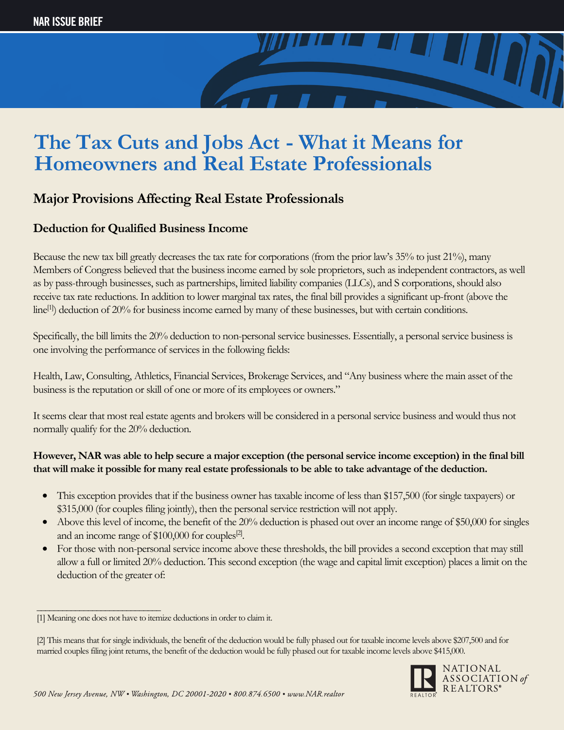

### **Major Provisions Affecting Real Estate Professionals**

### **Deduction for Qualified Business Income**

Because the new tax bill greatly decreases the tax rate for corporations (from the prior law's 35% to just 21%), many Members of Congress believed that the business income earned by sole proprietors, such as independent contractors, as well as by pass-through businesses, such as partnerships, limited liability companies (LLCs), and S corporations, should also receive tax rate reductions. In addition to lower marginal tax rates, the final bill provides a significant up-front (above the line<sup>[1]</sup>) deduction of 20% for business income earned by many of these businesses, but with certain conditions.

Specifically, the bill limits the 20% deduction to non-personal service businesses. Essentially, a personal service business is one involving the performance of services in the following fields:

Health, Law, Consulting, Athletics, Financial Services, Brokerage Services, and "Any business where the main asset of the business is the reputation or skill of one or more of its employees or owners."

It seems clear that most real estate agents and brokers will be considered in a personal service business and would thus not normally qualify for the 20% deduction.

#### **However, NAR was able to help secure a major exception (the personal service income exception) in the final bill that will make it possible for many real estate professionals to be able to take advantage of the deduction.**

- This exception provides that if the business owner has taxable income of less than \$157,500 (for single taxpayers) or \$315,000 (for couples filing jointly), then the personal service restriction will not apply.
- Above this level of income, the benefit of the 20% deduction is phased out over an income range of \$50,000 for singles and an income range of \$100,000 for couples<sup>[2]</sup>.
- For those with non-personal service income above these thresholds, the bill provides a second exception that may still allow a full or limited 20% deduction. This second exception (the wage and capital limit exception) places a limit on the deduction of the greater of:

\_\_\_\_\_\_\_\_\_\_\_\_\_\_\_\_\_\_\_\_\_\_\_\_\_\_\_\_\_

<sup>[2]</sup> This means that for single individuals, the benefit of the deduction would be fully phased out for taxable income levels above \$207,500 and for married couples filing joint returns, the benefit of the deduction would be fully phased out for taxable income levels above \$415,000.



<sup>[1]</sup> Meaning one does not have to itemize deductions in order to claim it.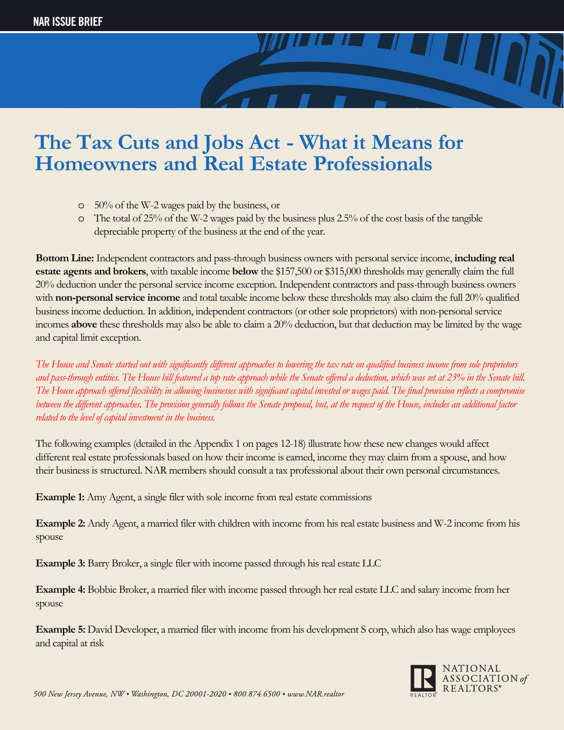

- o 50% of the W-2 wages paid by the business, or
- o The total of 25% of the W-2 wages paid by the business plus 2.5% of the cost basis of the tangible depreciable property of the business at the end of the year.

**Bottom Line:** Independent contractors and pass-through business owners with personal service income, **including real estate agents and brokers**, with taxable income **below** the \$157,500 or \$315,000 thresholds may generally claim the full 20% deduction under the personal service income exception. Independent contractors and pass-through business owners with **non-personal service income** and total taxable income below these thresholds may also claim the full 20% qualified business income deduction. In addition, independent contractors (or other sole proprietors) with non-personal service incomes **above** these thresholds may also be able to claim a 20% deduction, but that deduction may be limited by the wage and capital limit exception.

The House and Senate started out with significantly different approaches to lowering the tax rate on qualified business income from sole proprietors and pass-through entities. The House bill featured a top rate approach while the Senate offered a deduction, which was set at 23% in the Senate bill. The House approach offered flexibility in allowing businesses with significant capital invested or wages paid. The final provision reflects a compromise between the different approaches. The provision generally follows the Senate proposal, but, at the request of the House, includes an additional factor *related to the level of capital investment in the business.*

The following examples (detailed in the Appendix 1 on pages 12-18) illustrate how these new changes would affect different real estate professionals based on how their income is earned, income they may claim from a spouse, and how their business is structured. NAR members should consult a tax professional about their own personal circumstances.

**Example 1:** Amy Agent, a single filer with sole income from real estate commissions

**Example 2:** Andy Agent, a married filer with children with income from his real estate business and W-2 income from his spouse

**Example 3:** Barry Broker, a single filer with income passed through his real estate LLC

**Example 4:** Bobbie Broker, a married filer with income passed through her real estate LLC and salary income from her spouse

**Example 5:** David Developer, a married filer with income from his development S corp, which also has wage employees and capital at risk

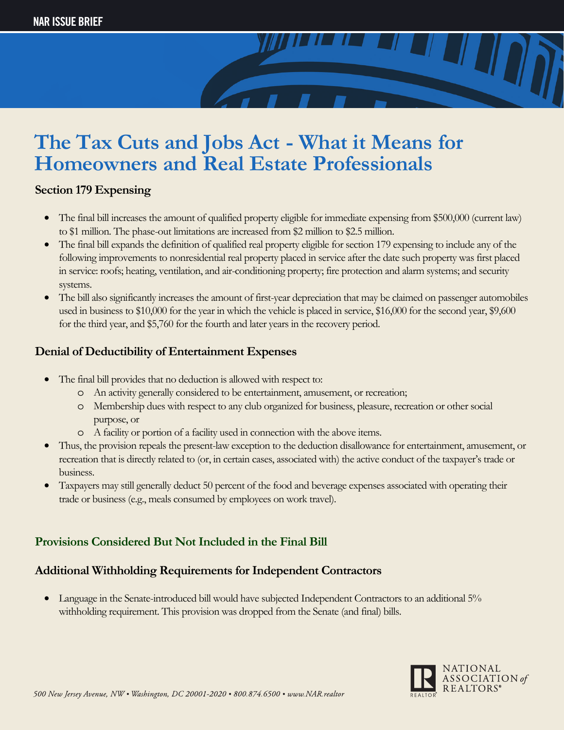#### **Section 179 Expensing**

- The final bill increases the amount of qualified property eligible for immediate expensing from \$500,000 (current law) to \$1 million. The phase-out limitations are increased from \$2 million to \$2.5 million.
- The final bill expands the definition of qualified real property eligible for section 179 expensing to include any of the following improvements to nonresidential real property placed in service after the date such property was first placed in service: roofs; heating, ventilation, and air-conditioning property; fire protection and alarm systems; and security systems.
- The bill also significantly increases the amount of first-year depreciation that may be claimed on passenger automobiles used in business to \$10,000 for the year in which the vehicle is placed in service, \$16,000 for the second year, \$9,600 for the third year, and \$5,760 for the fourth and later years in the recovery period.

#### **Denial of Deductibility of Entertainment Expenses**

- The final bill provides that no deduction is allowed with respect to:
	- o An activity generally considered to be entertainment, amusement, or recreation;
	- o Membership dues with respect to any club organized for business, pleasure, recreation or other social purpose, or
	- o A facility or portion of a facility used in connection with the above items.
- Thus, the provision repeals the present-law exception to the deduction disallowance for entertainment, amusement, or recreation that is directly related to (or, in certain cases, associated with) the active conduct of the taxpayer's trade or business.
- Taxpayers may still generally deduct 50 percent of the food and beverage expenses associated with operating their trade or business (e.g., meals consumed by employees on work travel).

### **Provisions Considered But Not Included in the Final Bill**

### **Additional Withholding Requirements for Independent Contractors**

• Language in the Senate-introduced bill would have subjected Independent Contractors to an additional 5% withholding requirement. This provision was dropped from the Senate (and final) bills.

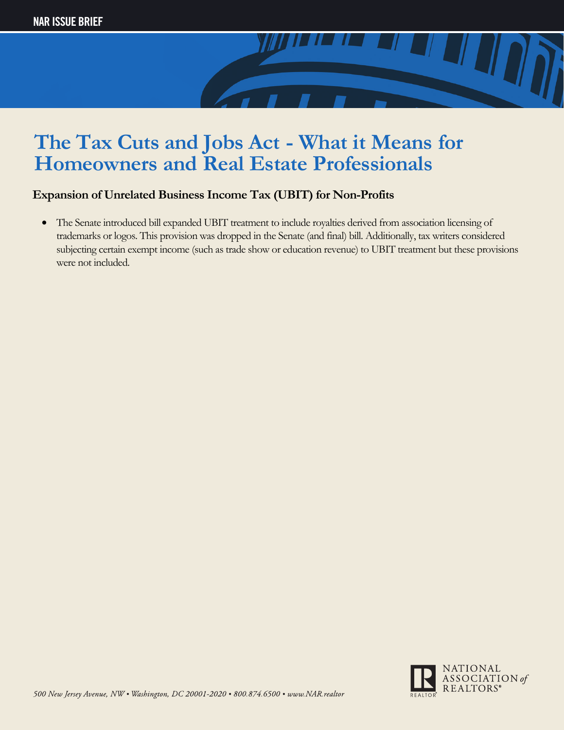

### **Expansion of Unrelated Business Income Tax (UBIT) for Non-Profits**

• The Senate introduced bill expanded UBIT treatment to include royalties derived from association licensing of trademarks or logos. This provision was dropped in the Senate (and final) bill. Additionally, tax writers considered subjecting certain exempt income (such as trade show or education revenue) to UBIT treatment but these provisions were not included.

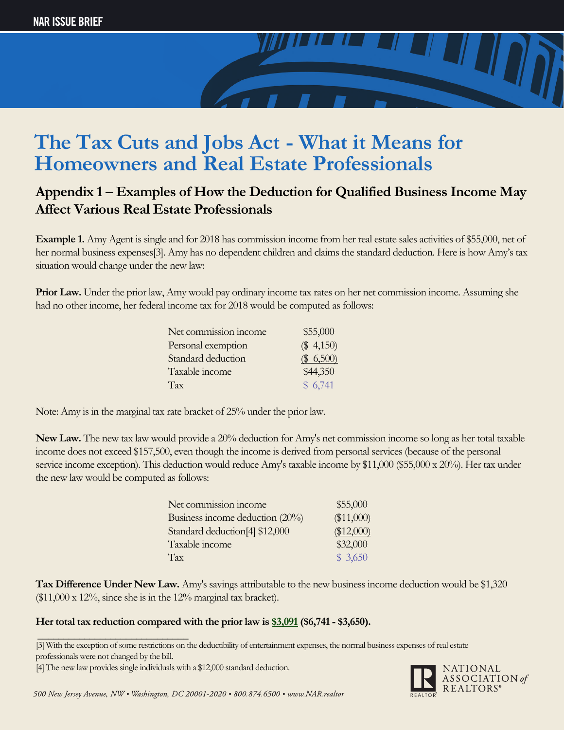

### **Appendix 1 – Examples of How the Deduction for Qualified Business Income May Affect Various Real Estate Professionals**

**Example 1.** Amy Agent is single and for 2018 has commission income from her real estate sales activities of \$55,000, net of her normal business expenses<sup>[3]</sup>. Amy has no dependent children and claims the standard deduction. Here is how Amy's tax situation would change under the new law:

**Prior Law.** Under the prior law, Amy would pay ordinary income tax rates on her net commission income. Assuming she had no other income, her federal income tax for 2018 would be computed as follows:

| Net commission income | \$55,000     |
|-----------------------|--------------|
| Personal exemption    | $(\$ 4,150)$ |
| Standard deduction    | \$6,500      |
| Taxable income        | \$44,350     |
| Tax                   | \$6,741      |

Note: Amy is in the marginal tax rate bracket of 25% under the prior law.

**New Law.** The new tax law would provide a 20% deduction for Amy's net commission income so long as her total taxable income does not exceed \$157,500, even though the income is derived from personal services (because of the personal service income exception). This deduction would reduce Amy's taxable income by \$11,000 (\$55,000 x 20%). Her tax under the new law would be computed as follows:

| Net commission income                      | \$55,000   |
|--------------------------------------------|------------|
| Business income deduction (20%)            | (\$11,000) |
| Standard deduction <sup>[4]</sup> \$12,000 | (\$12,000) |
| Taxable income                             | \$32,000   |
| Tax                                        | \$3,650    |

**Tax Difference Under New Law.** Amy's savings attributable to the new business income deduction would be \$1,320  $($11,000 \times 12\%$ , since she is in the 12% marginal tax bracket).

#### **Her total tax reduction compared with the prior law is \$3,091(\$6,741 - \$3,650).**



<sup>[3]</sup>With the exception of some restrictions on the deductibility of entertainment expenses, the normal business expenses of real estate \_\_\_\_\_\_\_\_\_\_\_\_\_\_\_\_\_\_\_\_\_\_\_\_\_\_\_\_\_

professionals were not changed by the bill.

<sup>[4]</sup>The new law provides single individuals with a \$12,000 standard deduction.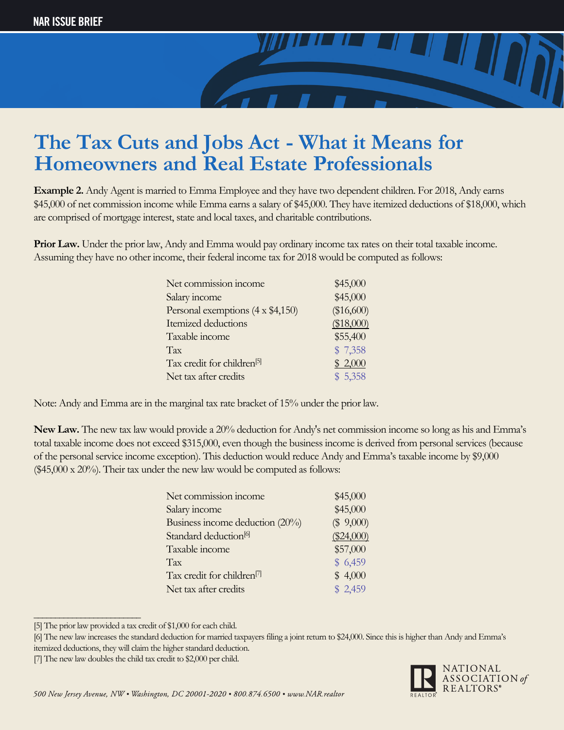

**Example 2.** Andy Agent is married to Emma Employee and they have two dependent children. For 2018, Andy earns \$45,000 of net commission income while Emma earns a salary of \$45,000. They have itemized deductions of \$18,000, which are comprised of mortgage interest, state and local taxes, and charitable contributions.

**Prior Law.** Under the prior law, Andy and Emma would pay ordinary income tax rates on their total taxable income. Assuming they have no other income, their federal income tax for 2018 would be computed as follows:

| Net commission income                   | \$45,000   |
|-----------------------------------------|------------|
| Salary income                           | \$45,000   |
| Personal exemptions $(4 \times $4,150)$ | (\$16,600) |
| Itemized deductions                     | (\$18,000) |
| Taxable income                          | \$55,400   |
| Tax                                     | \$7,358    |
| Tax credit for children <sup>[5]</sup>  | \$2,000    |
| Net tax after credits                   | \$5,358    |

Note: Andy and Emma are in the marginal tax rate bracket of 15% under the prior law.

**New Law.** The new tax law would provide a 20% deduction for Andy's net commission income so long as his and Emma's total taxable income does not exceed \$315,000, even though the business income is derived from personal services (because of the personal service income exception). This deduction would reduce Andy and Emma's taxable income by \$9,000 (\$45,000 x 20%). Their tax under the new law would be computed as follows:

| Net commission income                  | \$45,000     |
|----------------------------------------|--------------|
| Salary income                          | \$45,000     |
| Business income deduction (20%)        | (\$9,000)    |
| Standard deduction <sup>[6]</sup>      | $(\$24,000)$ |
| Taxable income                         | \$57,000     |
| Tax                                    | \$6,459      |
| Tax credit for children <sup>[7]</sup> | \$4,000      |
| Net tax after credits                  | \$2,459      |
|                                        |              |

<sup>[5]</sup> The prior law provided a tax credit of \$1,000 for each child.

\_\_\_\_\_\_\_\_\_\_\_\_\_\_\_\_\_\_\_\_\_\_\_\_\_



<sup>[6]</sup> The new law increases the standard deduction for married taxpayers filing a joint return to \$24,000. Since this is higher than Andy and Emma's itemized deductions, they will claim the higher standard deduction.

<sup>[7]</sup> The new law doubles the child tax credit to \$2,000 per child.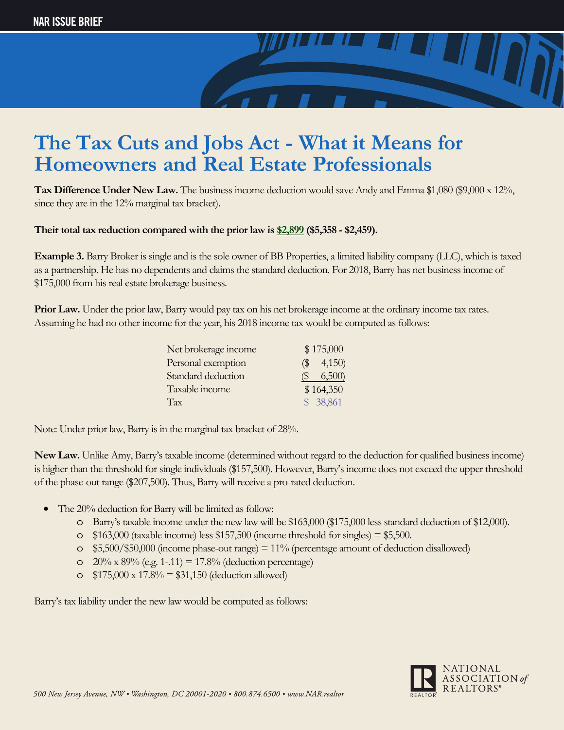

**Tax Difference Under New Law.** The business income deduction would save Andy and Emma \$1,080 (\$9,000 x 12%, since they are in the 12% marginal tax bracket).

#### **Their total tax reduction compared with the prior law is \$2,899 (\$5,358 - \$2,459).**

**Example 3.** Barry Broker is single and is the sole owner of BB Properties, a limited liability company (LLC), which is taxed as a partnership. He has no dependents and claims the standard deduction. For 2018, Barry has net business income of \$175,000 from his real estate brokerage business.

**Prior Law.** Under the prior law, Barry would pay tax on his net brokerage income at the ordinary income tax rates. Assuming he had no other income for the year, his 2018 income tax would be computed as follows:

| Net brokerage income | \$175,000     |
|----------------------|---------------|
| Personal exemption   | $($ \$ 4,150) |
| Standard deduction   | 6,500<br>(S   |
| Taxable income       | \$164,350     |
| Tax                  | \$ 38,861     |
|                      |               |

Note: Under prior law, Barry is in the marginal tax bracket of 28%.

**New Law.** Unlike Amy, Barry's taxable income (determined without regard to the deduction for qualified business income) is higher than the threshold for single individuals (\$157,500). However, Barry's income does not exceed the upper threshold of the phase-out range (\$207,500). Thus, Barry will receive a pro-rated deduction.

- The 20% deduction for Barry will be limited as follow:
	- o Barry's taxable income under the new law will be \$163,000 (\$175,000 less standard deduction of \$12,000).
	- $\degree$  \$163,000 (taxable income) less \$157,500 (income threshold for singles) = \$5,500.
	- $\circ$  \$5,500/\$50,000 (income phase-out range) = 11% (percentage amount of deduction disallowed)
	- $\degree$  20% x 89% (e.g. 1-.11) = 17.8% (deduction percentage)
	- $\degree$  \$175,000 x 17.8% = \$31,150 (deduction allowed)

Barry's tax liability under the new law would be computed as follows:

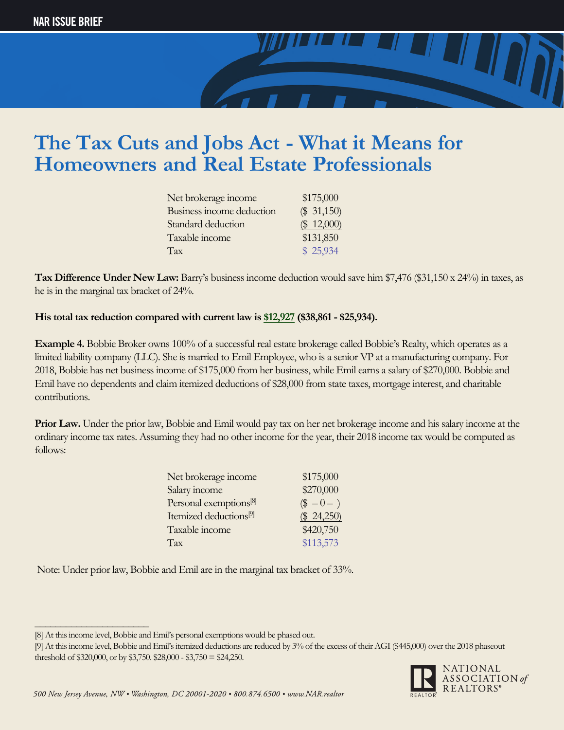

| Net brokerage income      | \$175,000     |
|---------------------------|---------------|
| Business income deduction | $(\$ 31,150)$ |
| Standard deduction        | $(\$ 12,000)$ |
| Taxable income            | \$131,850     |
| Tax                       | \$25,934      |

**Tax Difference Under New Law:** Barry's business income deduction would save him \$7,476 (\$31,150 x 24%) in taxes, as he is in the marginal tax bracket of 24%.

#### **His total tax reduction compared with current law is \$12,927 (\$38,861 - \$25,934).**

**Example 4.** Bobbie Broker owns 100% of a successful real estate brokerage called Bobbie's Realty, which operates as a limited liability company (LLC). She is married to Emil Employee, who is a senior VP at a manufacturing company. For 2018, Bobbie has net business income of \$175,000 from her business, while Emil earns a salary of \$270,000. Bobbie and Emil have no dependents and claim itemized deductions of \$28,000 from state taxes, mortgage interest, and charitable contributions.

**Prior Law.** Under the prior law, Bobbie and Emil would pay tax on her net brokerage income and his salary income at the ordinary income tax rates. Assuming they had no other income for the year, their 2018 income tax would be computed as follows:

| Net brokerage income               | \$175,000   |
|------------------------------------|-------------|
| Salary income                      | \$270,000   |
| Personal exemptions <sup>[8]</sup> | $\$ -0 - )$ |
| Itemized deductions <sup>[9]</sup> | (\$24,250)  |
| Taxable income                     | \$420,750   |
| Tax                                | \$113,573   |

Note: Under prior law, Bobbie and Emil are in the marginal tax bracket of 33%.

\_\_\_\_\_\_\_\_\_\_\_\_\_\_\_\_\_\_\_\_\_\_

<sup>[9]</sup> At this income level, Bobbie and Emil's itemized deductions are reduced by 3% of the excess of their AGI (\$445,000) over the 2018 phaseout threshold of \$320,000, or by \$3,750. \$28,000 - \$3,750 = \$24,250.



<sup>[8]</sup> At this income level, Bobbie and Emil's personal exemptions would be phased out.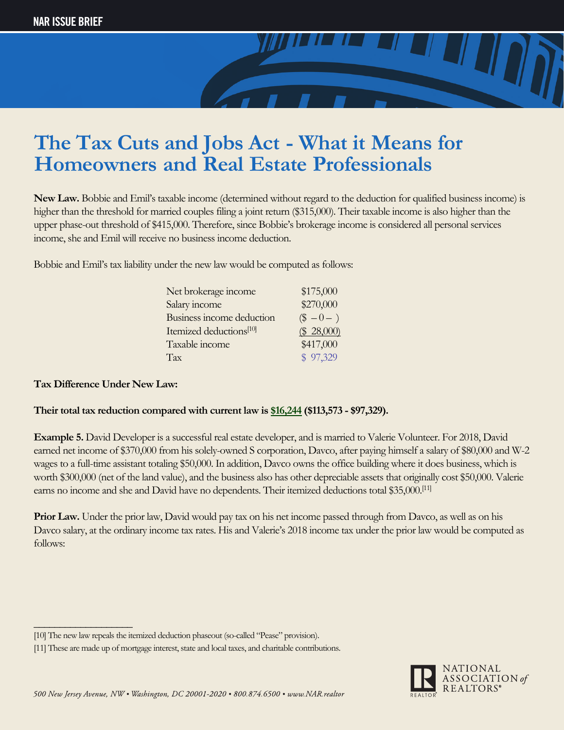

**New Law.** Bobbie and Emil's taxable income (determined without regard to the deduction for qualified business income) is higher than the threshold for married couples filing a joint return (\$315,000). Their taxable income is also higher than the upper phase-out threshold of \$415,000. Therefore, since Bobbie's brokerage income is considered all personal services income, she and Emil will receive no business income deduction.

Bobbie and Emil's tax liability under the new law would be computed as follows:

| Net brokerage income                | \$175,000     |
|-------------------------------------|---------------|
| Salary income                       | \$270,000     |
| Business income deduction           | $\$ -0 - )$   |
| Itemized deductions <sup>[10]</sup> | $(\$ 28,000)$ |
| Taxable income                      | \$417,000     |
| Tax                                 | \$97,329      |

#### **Tax Difference Under New Law:**

\_\_\_\_\_\_\_\_\_\_\_\_\_\_\_\_\_\_\_

#### **Their total tax reduction compared with current law is \$16,244 (\$113,573 - \$97,329).**

**Example 5.** David Developer is a successful real estate developer, and is married to Valerie Volunteer. For 2018, David earned net income of \$370,000 from his solely-owned S corporation, Davco, after paying himself a salary of \$80,000 and W-2 wages to a full-time assistant totaling \$50,000. In addition, Davco owns the office building where it does business, which is worth \$300,000 (net of the land value), and the business also has other depreciable assets that originally cost \$50,000. Valerie earns no income and she and David have no dependents. Their itemized deductions total \$35,000.<sup>[11]</sup>

**Prior Law.** Under the prior law, David would pay tax on his net income passed through from Davco, as well as on his Davco salary, at the ordinary income tax rates. His and Valerie's 2018 income tax under the prior law would be computed as follows:



<sup>[10]</sup> The new law repeals the itemized deduction phaseout (so-called "Pease" provision).

<sup>[11]</sup> These are made up of mortgage interest, state and local taxes, and charitable contributions.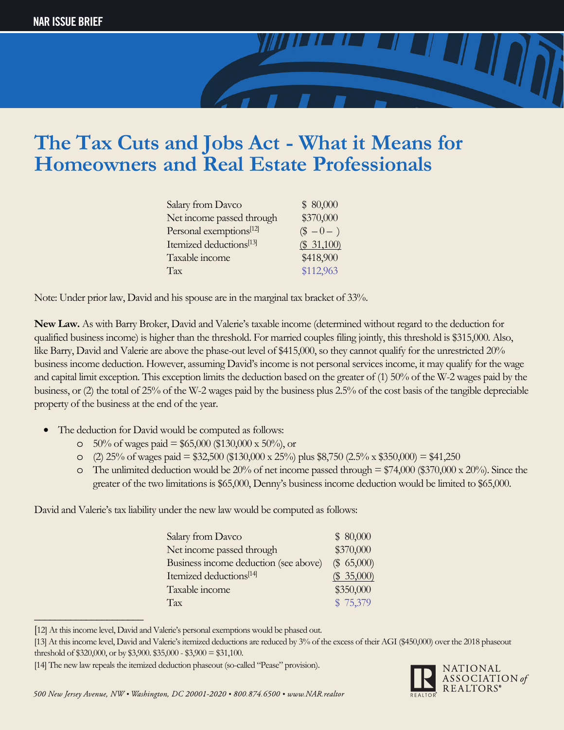

| Salary from Davco                   | \$80,000    |
|-------------------------------------|-------------|
| Net income passed through           | \$370,000   |
| Personal exemptions <sup>[12]</sup> | $\$ -0 - )$ |
| Itemized deductions <sup>[13]</sup> | \$31,100    |
| Taxable income                      | \$418,900   |
| Tax                                 | \$112,963   |

Note: Under prior law, David and his spouse are in the marginal tax bracket of 33%.

**New Law.** As with Barry Broker, David and Valerie's taxable income (determined without regard to the deduction for qualified business income) is higher than the threshold. For married couples filing jointly, this threshold is \$315,000. Also, like Barry, David and Valerie are above the phase-out level of \$415,000, so they cannot qualify for the unrestricted 20% business income deduction. However, assuming David's income is not personal services income, it may qualify for the wage and capital limit exception. This exception limits the deduction based on the greater of (1) 50% of the W-2 wages paid by the business, or (2) the total of 25% of the W-2 wages paid by the business plus 2.5% of the cost basis of the tangible depreciable property of the business at the end of the year.

- The deduction for David would be computed as follows:
	- $\degree$  50% of wages paid = \$65,000 (\$130,000 x 50%), or
	- o (2) 25% of wages paid = \$32,500 (\$130,000 x 25%) plus \$8,750 (2.5% x \$350,000) = \$41,250
	- $\circ$  The unlimited deduction would be 20% of net income passed through = \$74,000 (\$370,000 x 20%). Since the greater of the two limitations is \$65,000, Denny's business income deduction would be limited to \$65,000.

David and Valerie's tax liability under the new law would be computed as follows:

| Salary from Davco                     | \$80,000  |
|---------------------------------------|-----------|
| Net income passed through             | \$370,000 |
| Business income deduction (see above) | \$65,000  |
| Itemized deductions <sup>[14]</sup>   | \$35,000  |
| Taxable income                        | \$350,000 |
| Tax                                   | \$75,379  |

<sup>[</sup>12] At this income level, David and Valerie's personal exemptions would be phased out.

\_\_\_\_\_\_\_\_\_\_\_\_\_\_\_\_\_\_\_\_\_



<sup>[13]</sup> At this income level, David and Valerie's itemized deductions are reduced by 3% of the excess of their AGI (\$450,000) over the 2018 phaseout threshold of \$320,000, or by \$3,900. \$35,000 - \$3,900 = \$31,100.

<sup>[14]</sup> The new law repeals the itemized deduction phaseout (so-called "Pease" provision).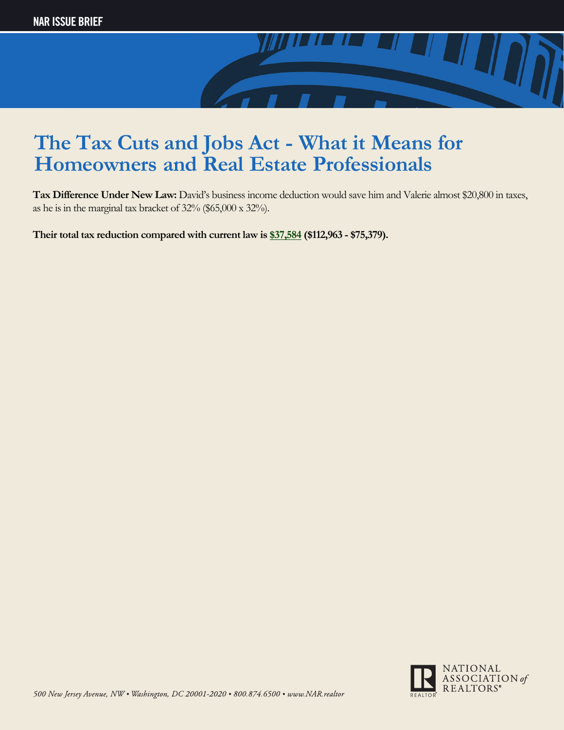

**Tax Difference Under New Law:** David's business income deduction would save him and Valerie almost \$20,800 in taxes, as he is in the marginal tax bracket of 32% (\$65,000 x 32%).

**Their total tax reduction compared with current law is \$37,584 (\$112,963 - \$75,379).**

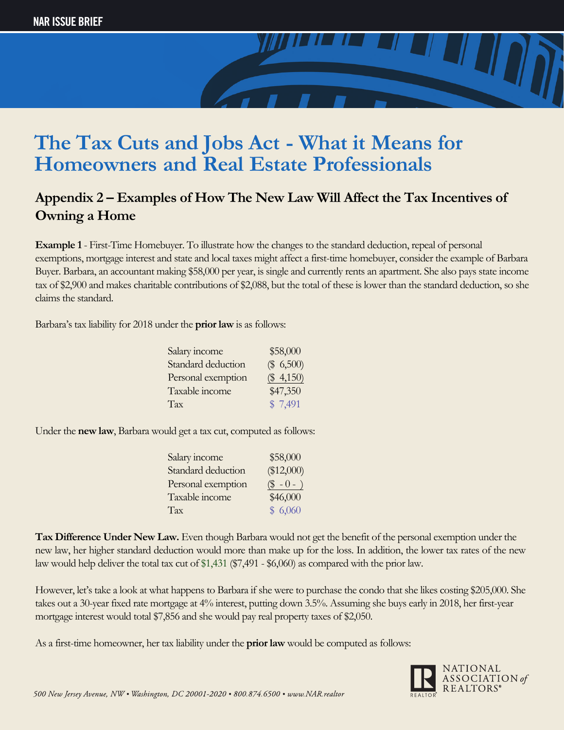

### **Appendix 2 – Examples of How The New Law Will Affect the Tax Incentives of Owning a Home**

**Example 1** - First-Time Homebuyer. To illustrate how the changes to the standard deduction, repeal of personal exemptions, mortgage interest and state and local taxes might affect a first-time homebuyer, consider the example of Barbara Buyer. Barbara, an accountant making \$58,000 per year, is single and currently rents an apartment. She also pays state income tax of \$2,900 and makes charitable contributions of \$2,088, but the total of these is lower than the standard deduction, so she claims the standard.

Barbara's tax liability for 2018 under the **prior law** is as follows:

| Salary income      | \$58,000  |
|--------------------|-----------|
| Standard deduction | (\$, 500) |
| Personal exemption | (\$4,150) |
| Taxable income     | \$47,350  |
| Tax                | \$7,491   |
|                    |           |

Under the **new law**, Barbara would get a tax cut, computed as follows:

| Salary income      | \$58,000     |
|--------------------|--------------|
| Standard deduction | (\$12,000)   |
| Personal exemption | $($ - 0 - )$ |
| Taxable income     | \$46,000     |
| Tax                | \$6,060      |

**Tax Difference Under New Law.** Even though Barbara would not get the benefit of the personal exemption under the new law, her higher standard deduction would more than make up for the loss. In addition, the lower tax rates of the new law would help deliver the total tax cut of \$1,431 (\$7,491 - \$6,060) as compared with the prior law.

However, let's take a look at what happens to Barbara if she were to purchase the condo that she likes costing \$205,000. She takes out a 30-year fixed rate mortgage at 4% interest, putting down 3.5%. Assuming she buys early in 2018, her first-year mortgage interest would total \$7,856 and she would pay real property taxes of \$2,050.

As a first-time homeowner, her tax liability under the **prior law** would be computed as follows:

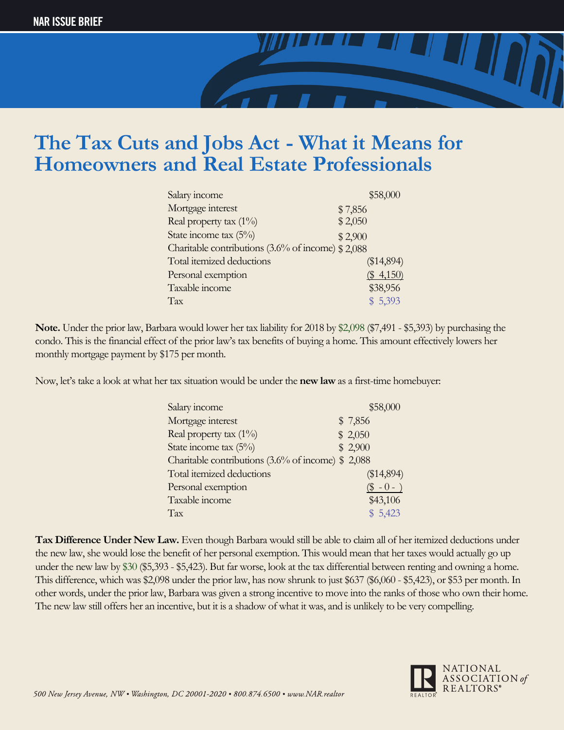

| Salary income                                     |         | \$58,000   |  |
|---------------------------------------------------|---------|------------|--|
| Mortgage interest                                 | \$7,856 |            |  |
| Real property tax $(1\%)$                         | \$2,050 |            |  |
| State income tax $(5\%)$                          | \$2,900 |            |  |
| Charitable contributions (3.6% of income) \$2,088 |         |            |  |
| Total itemized deductions                         |         | (\$14,894) |  |
| Personal exemption                                |         | (\$4,150)  |  |
| Taxable income                                    |         | \$38,956   |  |
| Tax                                               |         | \$5,393    |  |

**Note.** Under the prior law, Barbara would lower her tax liability for 2018 by \$2,098 (\$7,491 - \$5,393) by purchasing the condo. This is the financial effect of the prior law's tax benefits of buying a home. This amount effectively lowers her monthly mortgage payment by \$175 per month.

Now, let's take a look at what her tax situation would be under the **new law** as a first-time homebuyer:

| \$58,000                                                     |
|--------------------------------------------------------------|
| \$7,856                                                      |
| \$2,050                                                      |
| \$2,900                                                      |
| Charitable contributions $(3.6\% \text{ of income})$ \$2,088 |
| (\$14,894)                                                   |
| $($ - 0 - )$                                                 |
| \$43,106                                                     |
| \$5,423                                                      |
|                                                              |

**Tax Difference Under New Law.** Even though Barbara would still be able to claim all of her itemized deductions under the new law, she would lose the benefit of her personal exemption. This would mean that her taxes would actually go up under the new law by \$30 (\$5,393 - \$5,423). But far worse, look at the tax differential between renting and owning a home. This difference, which was \$2,098 under the prior law, has now shrunk to just \$637 (\$6,060 - \$5,423), or \$53 per month. In other words, under the prior law, Barbara was given a strong incentive to move into the ranks of those who own their home. The new law still offers her an incentive, but it is a shadow of what it was, and is unlikely to be very compelling.

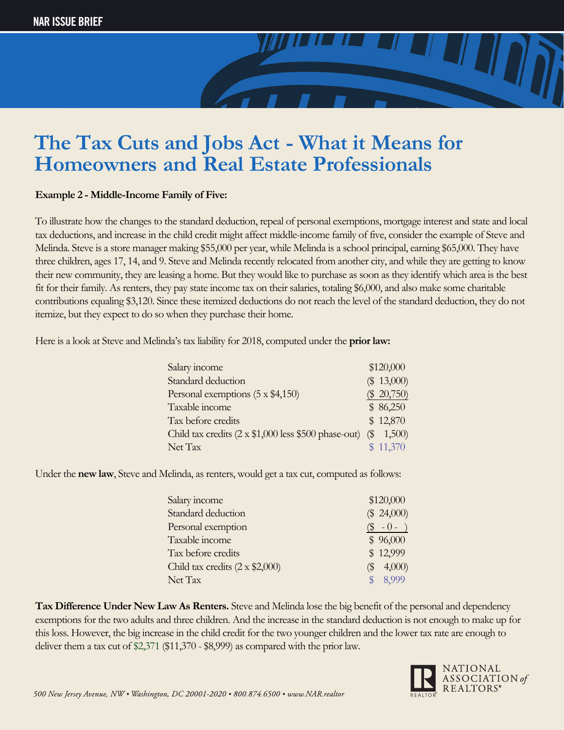**Example 2 - Middle-Income Family of Five:**

To illustrate how the changes to the standard deduction, repeal of personal exemptions, mortgage interest and state and local tax deductions, and increase in the child credit might affect middle-income family of five, consider the example of Steve and Melinda. Steve is a store manager making \$55,000 per year, while Melinda is a school principal, earning \$65,000. They have three children, ages 17, 14, and 9. Steve and Melinda recently relocated from another city, and while they are getting to know their new community, they are leasing a home. But they would like to purchase as soon as they identify which area is the best fit for their family. As renters, they pay state income tax on their salaries, totaling \$6,000, and also make some charitable contributions equaling \$3,120. Since these itemized deductions do not reach the level of the standard deduction, they do not itemize, but they expect to do so when they purchase their home.

Here is a look at Steve and Melinda's tax liability for 2018, computed under the **prior law:**

| Salary income                                        | \$120,000     |
|------------------------------------------------------|---------------|
| Standard deduction                                   | \$13,000      |
| Personal exemptions (5 x \$4,150)                    | $(\$ 20,750)$ |
| Taxable income                                       | \$86,250      |
| Tax before credits                                   | \$12,870      |
| Child tax credits (2 x \$1,000 less \$500 phase-out) | $(\$ 1,500)$  |
| Net Tax                                              | \$11,370      |

Under the **new law**, Steve and Melinda, as renters, would get a tax cut, computed as follows:

| Salary income                         | \$120,000     |
|---------------------------------------|---------------|
| Standard deduction                    | $(\$ 24,000)$ |
| Personal exemption                    | $(S - 0 -$    |
| Taxable income                        | \$96,000      |
| Tax before credits                    | \$12,999      |
| Child tax credits $(2 \times $2,000)$ | 4,000<br>(\$  |
| Net Tax                               | 8,999         |

**Tax Difference Under New Law As Renters.** Steve and Melinda lose the big benefit of the personal and dependency exemptions for the two adults and three children. And the increase in the standard deduction is not enough to make up for this loss. However, the big increase in the child credit for the two younger children and the lower tax rate are enough to deliver them a tax cut of \$2,371 (\$11,370 - \$8,999) as compared with the prior law.

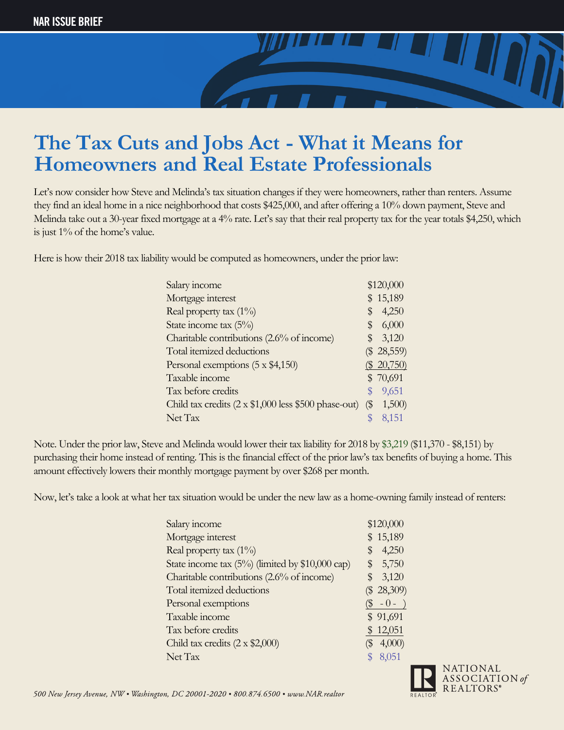

Let's now consider how Steve and Melinda's tax situation changes if they were homeowners, rather than renters. Assume they find an ideal home in a nice neighborhood that costs \$425,000, and after offering a 10% down payment, Steve and Melinda take out a 30-year fixed mortgage at a 4% rate. Let's say that their real property tax for the year totals \$4,250, which is just 1% of the home's value.

Here is how their 2018 tax liability would be computed as homeowners, under the prior law:

| Salary income                                        |                                                | \$120,000     |
|------------------------------------------------------|------------------------------------------------|---------------|
| Mortgage interest                                    |                                                | 15,189        |
| Real property tax $(1\%)$                            | \$                                             | 4,250         |
| State income tax $(5\%)$                             | S                                              | 6,000         |
| Charitable contributions (2.6% of income)            | \$                                             | 3,120         |
| Total itemized deductions                            |                                                | $(\$ 28,559)$ |
| Personal exemptions (5 x \$4,150)                    |                                                | $(\$ 20,750)$ |
| Taxable income                                       |                                                | \$70,691      |
| Tax before credits                                   |                                                | 9,651         |
| Child tax credits (2 x \$1,000 less \$500 phase-out) | $\left(\frac{\mathcal{L}}{\mathcal{L}}\right)$ | 1,500         |
| Net Tax                                              |                                                | 8,151         |

Note. Under the prior law, Steve and Melinda would lower their tax liability for 2018 by \$3,219 (\$11,370 - \$8,151) by purchasing their home instead of renting. This is the financial effect of the prior law's tax benefits of buying a home. This amount effectively lowers their monthly mortgage payment by over \$268 per month.

Now, let's take a look at what her tax situation would be under the new law as a home-owning family instead of renters:

| Salary income                                      |     | \$120,000     |
|----------------------------------------------------|-----|---------------|
| Mortgage interest                                  | \$  | 15,189        |
| Real property tax (1%)                             | \$  | 4,250         |
| State income tax $(5\%)$ (limited by \$10,000 cap) |     | \$5,750       |
| Charitable contributions (2.6% of income)          | \$  | 3,120         |
| Total itemized deductions                          |     | $(\$ 28,309)$ |
| Personal exemptions                                |     | $(\$ -0 - )$  |
| Taxable income                                     |     | \$91,691      |
| Tax before credits                                 |     | \$12,051      |
| Child tax credits $(2 \times $2,000)$              | (\$ | 4,000         |
| Net Tax                                            |     | 8,051         |